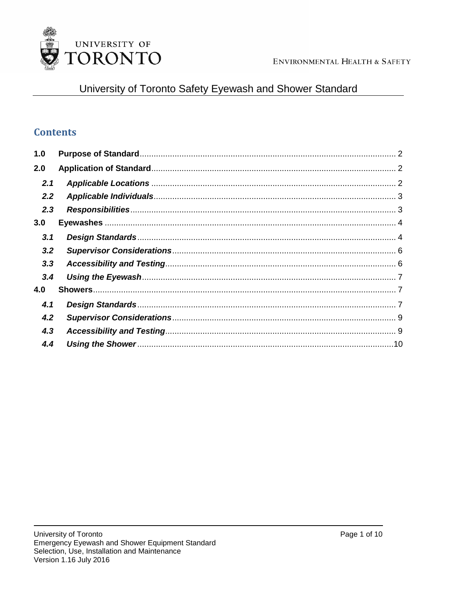

# University of Toronto Safety Eyewash and Shower Standard

## **Contents**

| 1.0           |  |
|---------------|--|
| 2.0           |  |
| 2.1           |  |
| $2.2^{\circ}$ |  |
| 2.3           |  |
| 3.0           |  |
| 3.1           |  |
| 3.2           |  |
| 3.3           |  |
| 3.4           |  |
| 4.0           |  |
| 4.1           |  |
| 4.2           |  |
| 4.3           |  |
| 4.4           |  |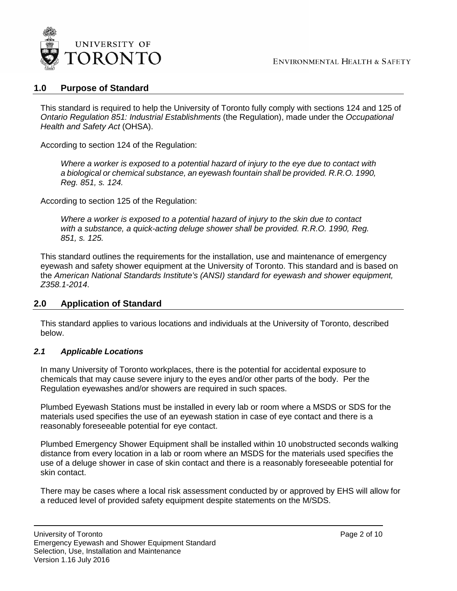

## <span id="page-1-0"></span>**1.0 Purpose of Standard**

This standard is required to help the University of Toronto fully comply with sections 124 and 125 of *Ontario Regulation 851: Industrial Establishments* (the Regulation), made under the *Occupational Health and Safety Act* (OHSA).

According to section 124 of the Regulation:

*Where a worker is exposed to a potential hazard of injury to the eye due to contact with a biological or chemical substance, an eyewash fountain shall be provided. R.R.O. 1990, Reg. 851, s. 124.*

According to section 125 of the Regulation:

*Where a worker is exposed to a potential hazard of injury to the skin due to contact*  with a substance, a quick-acting deluge shower shall be provided. R.R.O. 1990, Reg. *851, s. 125.*

This standard outlines the requirements for the installation, use and maintenance of emergency eyewash and safety shower equipment at the University of Toronto. This standard and is based on the *American National Standards Institute's (ANSI) standard for eyewash and shower equipment, Z358.1-2014*.

## <span id="page-1-1"></span>**2.0 Application of Standard**

This standard applies to various locations and individuals at the University of Toronto, described below.

## <span id="page-1-2"></span>*2.1 Applicable Locations*

In many University of Toronto workplaces, there is the potential for accidental exposure to chemicals that may cause severe injury to the eyes and/or other parts of the body. Per the Regulation eyewashes and/or showers are required in such spaces.

Plumbed Eyewash Stations must be installed in every lab or room where a MSDS or SDS for the materials used specifies the use of an eyewash station in case of eye contact and there is a reasonably foreseeable potential for eye contact.

Plumbed Emergency Shower Equipment shall be installed within 10 unobstructed seconds walking distance from every location in a lab or room where an MSDS for the materials used specifies the use of a deluge shower in case of skin contact and there is a reasonably foreseeable potential for skin contact.

There may be cases where a local risk assessment conducted by or approved by EHS will allow for a reduced level of provided safety equipment despite statements on the M/SDS.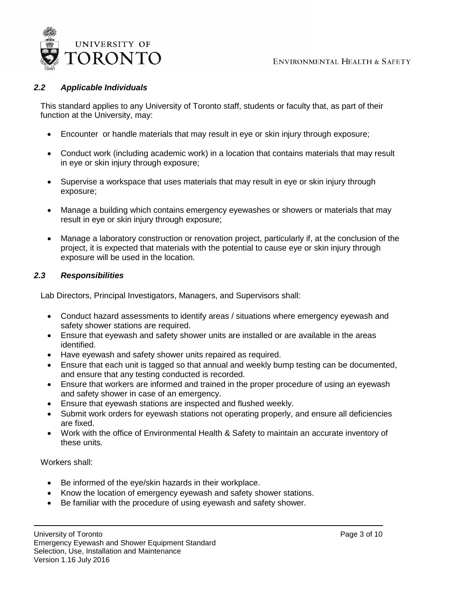

## <span id="page-2-0"></span>*2.2 Applicable Individuals*

This standard applies to any University of Toronto staff, students or faculty that, as part of their function at the University, may:

- Encounter or handle materials that may result in eye or skin injury through exposure;
- Conduct work (including academic work) in a location that contains materials that may result in eye or skin injury through exposure;
- Supervise a workspace that uses materials that may result in eye or skin injury through exposure;
- Manage a building which contains emergency eyewashes or showers or materials that may result in eye or skin injury through exposure;
- Manage a laboratory construction or renovation project, particularly if, at the conclusion of the project, it is expected that materials with the potential to cause eye or skin injury through exposure will be used in the location.

## <span id="page-2-1"></span>*2.3 Responsibilities*

Lab Directors, Principal Investigators, Managers, and Supervisors shall:

- Conduct hazard assessments to identify areas / situations where emergency eyewash and safety shower stations are required.
- Ensure that eyewash and safety shower units are installed or are available in the areas identified.
- Have eyewash and safety shower units repaired as required.
- Ensure that each unit is tagged so that annual and weekly bump testing can be documented, and ensure that any testing conducted is recorded.
- Ensure that workers are informed and trained in the proper procedure of using an eyewash and safety shower in case of an emergency.
- Ensure that eyewash stations are inspected and flushed weekly.
- Submit work orders for eyewash stations not operating properly, and ensure all deficiencies are fixed.
- Work with the office of Environmental Health & Safety to maintain an accurate inventory of these units.

Workers shall:

- Be informed of the eye/skin hazards in their workplace.
- Know the location of emergency eyewash and safety shower stations.
- Be familiar with the procedure of using eyewash and safety shower.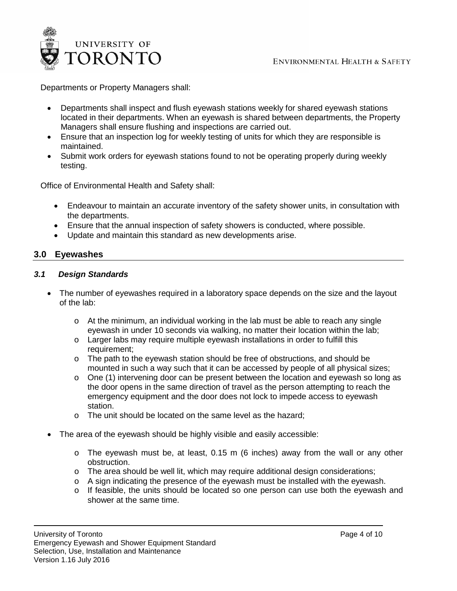

Departments or Property Managers shall:

- Departments shall inspect and flush eyewash stations weekly for shared eyewash stations located in their departments. When an eyewash is shared between departments, the Property Managers shall ensure flushing and inspections are carried out.
- Ensure that an inspection log for weekly testing of units for which they are responsible is maintained.
- Submit work orders for eyewash stations found to not be operating properly during weekly testing.

Office of Environmental Health and Safety shall:

- Endeavour to maintain an accurate inventory of the safety shower units, in consultation with the departments.
- Ensure that the annual inspection of safety showers is conducted, where possible.
- Update and maintain this standard as new developments arise.

## <span id="page-3-0"></span>**3.0 Eyewashes**

#### <span id="page-3-1"></span>*3.1 Design Standards*

- The number of eyewashes required in a laboratory space depends on the size and the layout of the lab:
	- $\circ$  At the minimum, an individual working in the lab must be able to reach any single eyewash in under 10 seconds via walking, no matter their location within the lab;
	- o Larger labs may require multiple eyewash installations in order to fulfill this requirement;
	- o The path to the eyewash station should be free of obstructions, and should be mounted in such a way such that it can be accessed by people of all physical sizes;
	- o One (1) intervening door can be present between the location and eyewash so long as the door opens in the same direction of travel as the person attempting to reach the emergency equipment and the door does not lock to impede access to eyewash station.
	- o The unit should be located on the same level as the hazard;
- The area of the eyewash should be highly visible and easily accessible:
	- $\circ$  The eyewash must be, at least, 0.15 m (6 inches) away from the wall or any other obstruction.
	- o The area should be well lit, which may require additional design considerations;
	- o A sign indicating the presence of the eyewash must be installed with the eyewash.
	- o If feasible, the units should be located so one person can use both the eyewash and shower at the same time.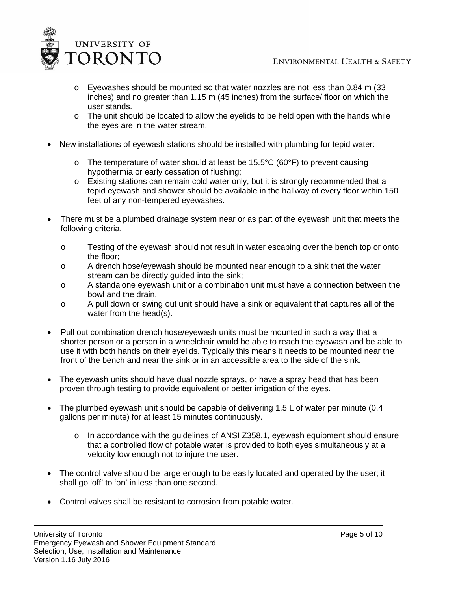

- $\circ$  Eyewashes should be mounted so that water nozzles are not less than 0.84 m (33) inches) and no greater than 1.15 m (45 inches) from the surface/ floor on which the user stands.
- $\circ$  The unit should be located to allow the eyelids to be held open with the hands while the eyes are in the water stream.
- New installations of eyewash stations should be installed with plumbing for tepid water:
	- $\circ$  The temperature of water should at least be 15.5°C (60°F) to prevent causing hypothermia or early cessation of flushing;
	- o Existing stations can remain cold water only, but it is strongly recommended that a tepid eyewash and shower should be available in the hallway of every floor within 150 feet of any non-tempered eyewashes.
- There must be a plumbed drainage system near or as part of the eyewash unit that meets the following criteria.
	- o Testing of the eyewash should not result in water escaping over the bench top or onto the floor;
	- o A drench hose/eyewash should be mounted near enough to a sink that the water stream can be directly guided into the sink;
	- o A standalone eyewash unit or a combination unit must have a connection between the bowl and the drain.
	- o A pull down or swing out unit should have a sink or equivalent that captures all of the water from the head(s).
- Pull out combination drench hose/eyewash units must be mounted in such a way that a shorter person or a person in a wheelchair would be able to reach the eyewash and be able to use it with both hands on their eyelids. Typically this means it needs to be mounted near the front of the bench and near the sink or in an accessible area to the side of the sink.
- The eyewash units should have dual nozzle sprays, or have a spray head that has been proven through testing to provide equivalent or better irrigation of the eyes.
- The plumbed eyewash unit should be capable of delivering 1.5 L of water per minute (0.4) gallons per minute) for at least 15 minutes continuously.
	- $\circ$  In accordance with the quidelines of ANSI Z358.1, eyewash equipment should ensure that a controlled flow of potable water is provided to both eyes simultaneously at a velocity low enough not to injure the user.
- The control valve should be large enough to be easily located and operated by the user; it shall go 'off' to 'on' in less than one second.
- Control valves shall be resistant to corrosion from potable water.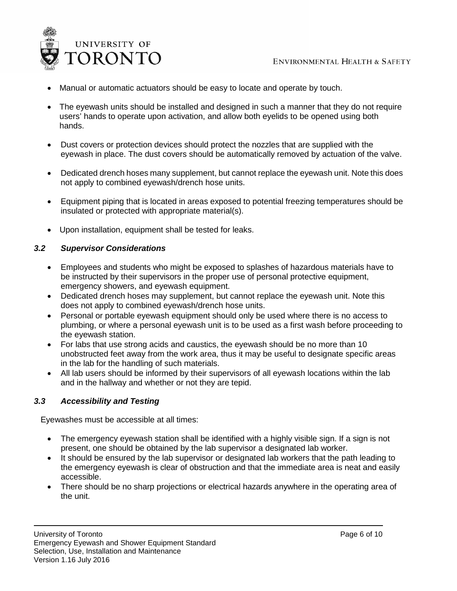

- Manual or automatic actuators should be easy to locate and operate by touch.
- The eyewash units should be installed and designed in such a manner that they do not require users' hands to operate upon activation, and allow both eyelids to be opened using both hands.
- Dust covers or protection devices should protect the nozzles that are supplied with the eyewash in place. The dust covers should be automatically removed by actuation of the valve.
- Dedicated drench hoses many supplement, but cannot replace the eyewash unit. Note this does not apply to combined eyewash/drench hose units.
- Equipment piping that is located in areas exposed to potential freezing temperatures should be insulated or protected with appropriate material(s).
- Upon installation, equipment shall be tested for leaks.

## <span id="page-5-0"></span>*3.2 Supervisor Considerations*

- Employees and students who might be exposed to splashes of hazardous materials have to be instructed by their supervisors in the proper use of personal protective equipment, emergency showers, and eyewash equipment.
- Dedicated drench hoses may supplement, but cannot replace the eyewash unit. Note this does not apply to combined eyewash/drench hose units.
- Personal or portable eyewash equipment should only be used where there is no access to plumbing, or where a personal eyewash unit is to be used as a first wash before proceeding to the eyewash station.
- For labs that use strong acids and caustics, the eyewash should be no more than 10 unobstructed feet away from the work area, thus it may be useful to designate specific areas in the lab for the handling of such materials.
- All lab users should be informed by their supervisors of all eyewash locations within the lab and in the hallway and whether or not they are tepid.

## <span id="page-5-1"></span>*3.3 Accessibility and Testing*

Eyewashes must be accessible at all times:

- The emergency eyewash station shall be identified with a highly visible sign. If a sign is not present, one should be obtained by the lab supervisor a designated lab worker.
- It should be ensured by the lab supervisor or designated lab workers that the path leading to the emergency eyewash is clear of obstruction and that the immediate area is neat and easily accessible.
- There should be no sharp projections or electrical hazards anywhere in the operating area of the unit.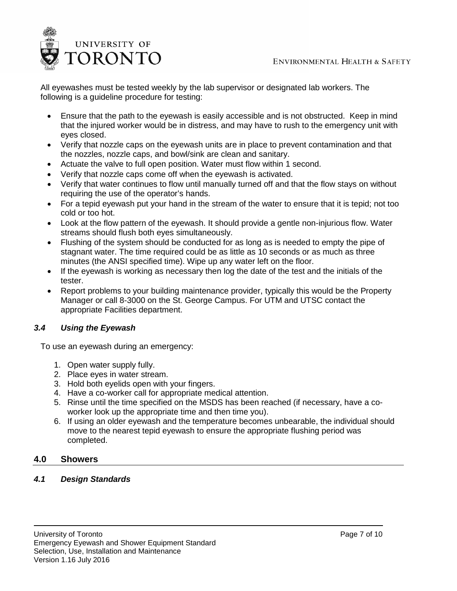

All eyewashes must be tested weekly by the lab supervisor or designated lab workers. The following is a guideline procedure for testing:

- Ensure that the path to the eyewash is easily accessible and is not obstructed. Keep in mind that the injured worker would be in distress, and may have to rush to the emergency unit with eyes closed.
- Verify that nozzle caps on the eyewash units are in place to prevent contamination and that the nozzles, nozzle caps, and bowl/sink are clean and sanitary.
- Actuate the valve to full open position. Water must flow within 1 second.
- Verify that nozzle caps come off when the eyewash is activated.
- Verify that water continues to flow until manually turned off and that the flow stays on without requiring the use of the operator's hands.
- For a tepid eyewash put your hand in the stream of the water to ensure that it is tepid; not too cold or too hot.
- Look at the flow pattern of the eyewash. It should provide a gentle non-injurious flow. Water streams should flush both eyes simultaneously.
- Flushing of the system should be conducted for as long as is needed to empty the pipe of stagnant water. The time required could be as little as 10 seconds or as much as three minutes (the ANSI specified time). Wipe up any water left on the floor.
- If the eyewash is working as necessary then log the date of the test and the initials of the tester.
- Report problems to your building maintenance provider, typically this would be the Property Manager or call 8-3000 on the St. George Campus. For UTM and UTSC contact the appropriate Facilities department.

## <span id="page-6-0"></span>*3.4 Using the Eyewash*

To use an eyewash during an emergency:

- 1. Open water supply fully.
- 2. Place eyes in water stream.
- 3. Hold both eyelids open with your fingers.
- 4. Have a co-worker call for appropriate medical attention.
- 5. Rinse until the time specified on the MSDS has been reached (if necessary, have a coworker look up the appropriate time and then time you).
- 6. If using an older eyewash and the temperature becomes unbearable, the individual should move to the nearest tepid eyewash to ensure the appropriate flushing period was completed.

## <span id="page-6-1"></span>**4.0 Showers**

## <span id="page-6-2"></span>*4.1 Design Standards*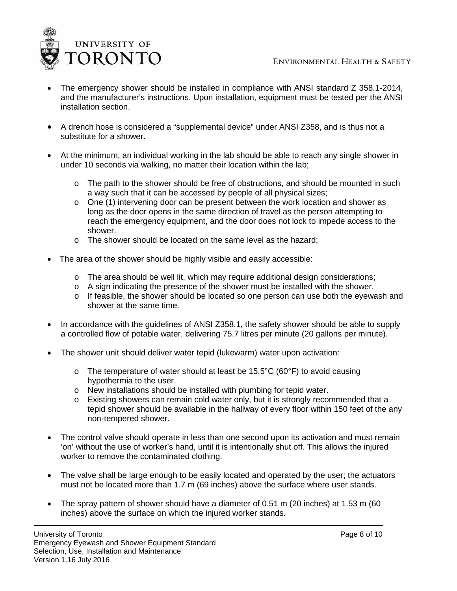

- The emergency shower should be installed in compliance with ANSI standard Z 358.1-2014, and the manufacturer's instructions. Upon installation, equipment must be tested per the ANSI installation section.
- A drench hose is considered a "supplemental device" under ANSI Z358, and is thus not a substitute for a shower.
- At the minimum, an individual working in the lab should be able to reach any single shower in under 10 seconds via walking, no matter their location within the lab;
	- $\circ$  The path to the shower should be free of obstructions, and should be mounted in such a way such that it can be accessed by people of all physical sizes;
	- o One (1) intervening door can be present between the work location and shower as long as the door opens in the same direction of travel as the person attempting to reach the emergency equipment, and the door does not lock to impede access to the shower.
	- o The shower should be located on the same level as the hazard;
- The area of the shower should be highly visible and easily accessible:
	- $\circ$  The area should be well lit, which may require additional design considerations;
	- $\circ$  A sign indicating the presence of the shower must be installed with the shower.
	- o If feasible, the shower should be located so one person can use both the eyewash and shower at the same time.
- In accordance with the guidelines of ANSI Z358.1, the safety shower should be able to supply a controlled flow of potable water, delivering 75.7 litres per minute (20 gallons per minute).
- The shower unit should deliver water tepid (lukewarm) water upon activation:
	- o The temperature of water should at least be 15.5°C (60°F) to avoid causing hypothermia to the user.
	- o New installations should be installed with plumbing for tepid water.
	- o Existing showers can remain cold water only, but it is strongly recommended that a tepid shower should be available in the hallway of every floor within 150 feet of the any non-tempered shower.
- The control valve should operate in less than one second upon its activation and must remain 'on' without the use of worker's hand, until it is intentionally shut off. This allows the injured worker to remove the contaminated clothing.
- The valve shall be large enough to be easily located and operated by the user; the actuators must not be located more than 1.7 m (69 inches) above the surface where user stands.
- The spray pattern of shower should have a diameter of 0.51 m (20 inches) at 1.53 m (60 inches) above the surface on which the injured worker stands.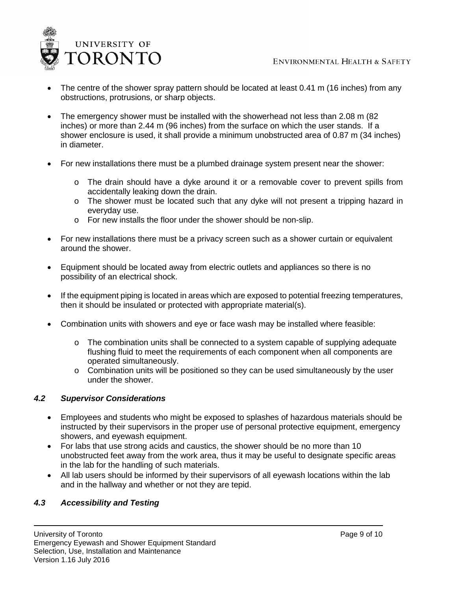

- The centre of the shower spray pattern should be located at least 0.41 m (16 inches) from any obstructions, protrusions, or sharp objects.
- The emergency shower must be installed with the showerhead not less than 2.08 m (82) inches) or more than 2.44 m (96 inches) from the surface on which the user stands. If a shower enclosure is used, it shall provide a minimum unobstructed area of 0.87 m (34 inches) in diameter.
- For new installations there must be a plumbed drainage system present near the shower:
	- $\circ$  The drain should have a dyke around it or a removable cover to prevent spills from accidentally leaking down the drain.
	- o The shower must be located such that any dyke will not present a tripping hazard in everyday use.
	- o For new installs the floor under the shower should be non-slip.
- For new installations there must be a privacy screen such as a shower curtain or equivalent around the shower.
- Equipment should be located away from electric outlets and appliances so there is no possibility of an electrical shock.
- If the equipment piping is located in areas which are exposed to potential freezing temperatures, then it should be insulated or protected with appropriate material(s).
- Combination units with showers and eye or face wash may be installed where feasible:
	- $\circ$  The combination units shall be connected to a system capable of supplying adequate flushing fluid to meet the requirements of each component when all components are operated simultaneously.
	- $\circ$  Combination units will be positioned so they can be used simultaneously by the user under the shower.

## <span id="page-8-0"></span>*4.2 Supervisor Considerations*

- Employees and students who might be exposed to splashes of hazardous materials should be instructed by their supervisors in the proper use of personal protective equipment, emergency showers, and eyewash equipment.
- For labs that use strong acids and caustics, the shower should be no more than 10 unobstructed feet away from the work area, thus it may be useful to designate specific areas in the lab for the handling of such materials.
- All lab users should be informed by their supervisors of all eyewash locations within the lab and in the hallway and whether or not they are tepid.

## <span id="page-8-1"></span>*4.3 Accessibility and Testing*